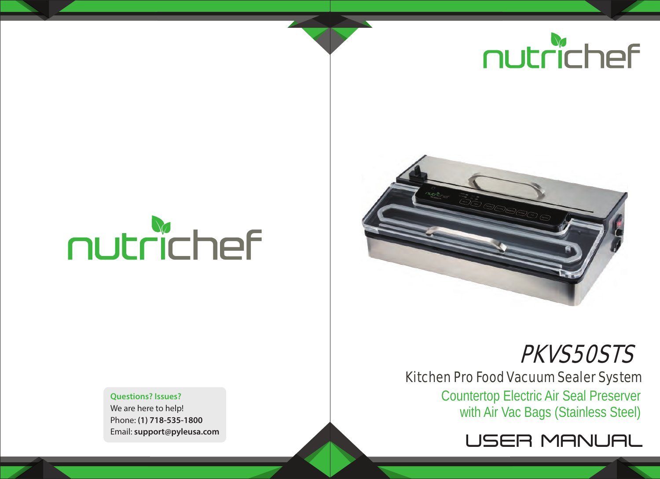## nutrichef

# nutrichef

**Questions? Issues?** We are here to help! Phone: **(1) 718-535-1800** Email: **support@pyleusa.com**



### PKVS50STS

#### Kitchen Pro Food Vacuum Sealer System

Countertop Electric Air Seal Preserver with Air Vac Bags (Stainless Steel)

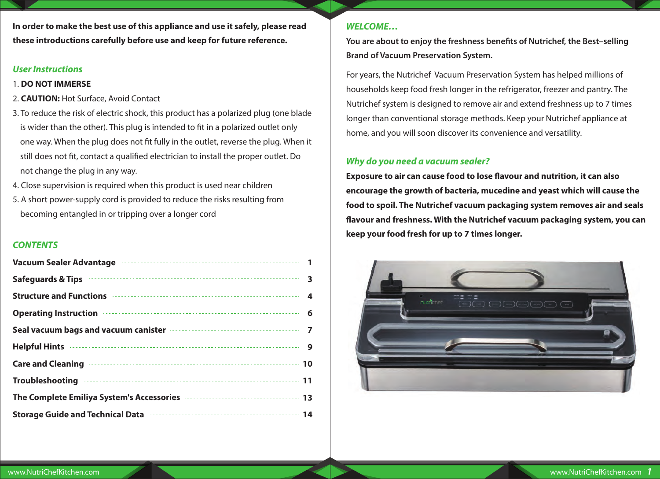**In order to make the best use of this appliance and use it safely, please read these introductions carefully before use and keep for future reference.**

#### *User Instructions*

#### 1. **DO NOT IMMERSE**

- 2. **CAUTION:** Hot Surface, Avoid Contact
- 3. To reduce the risk of electric shock, this product has a polarized plug (one blade is wider than the other). This plug is intended to fit in a polarized outlet only one way. When the plug does not fit fully in the outlet, reverse the plug. When it still does not fit, contact a qualified electrician to install the proper outlet. Do not change the plug in any way.
- 4. Close supervision is required when this product is used near children
- 5. A short power-supply cord is provided to reduce the risks resulting from becoming entangled in or tripping over a longer cord

#### *CONTENTS*

| Vacuum Sealer Advantage Machinese Sealer Advantage Machinese Sealer Advantage Machinese Sealer Advantage                                                                                                                                  |  |
|-------------------------------------------------------------------------------------------------------------------------------------------------------------------------------------------------------------------------------------------|--|
| Safeguards & Tips <b>Figure 2018</b> 3                                                                                                                                                                                                    |  |
| Structure and Functions <b>continues and Continues and Structure and Functions 4</b>                                                                                                                                                      |  |
| Operating Instruction <b>Entertainment Constructs</b> 6                                                                                                                                                                                   |  |
| Seal vacuum bags and vacuum canister <b>contract of the contract of the Seal</b> vacuum 1                                                                                                                                                 |  |
|                                                                                                                                                                                                                                           |  |
| Care and Cleaning <b>continues</b> and cleaning <b>continues</b> and cleaning <b>continues</b> and <b>cleaning continues</b> and <b>cleaning</b>                                                                                          |  |
| Troubleshooting www.communications.com/communications.com/                                                                                                                                                                                |  |
| The Complete Emiliya System's Accessories <b>Committee Complete Emiliya</b> System's Accessories <b>Committee Committee Committee Committee Committee Committee Committee Committee Committee Committee Committee Committee Committee</b> |  |
| Storage Guide and Technical Data <b>constructs</b> and the storage Guide and Technical Data constructs and the Storage                                                                                                                    |  |

#### *WELCOME…*

You are about to enjoy the freshness benefits of Nutrichef, the Best-selling **Brand of Vacuum Preservation System.**

For years, the Nutrichef Vacuum Preservation System has helped millions of households keep food fresh longer in the refrigerator, freezer and pantry. The Nutrichef system is designed to remove air and extend freshness up to 7 times longer than conventional storage methods. Keep your Nutrichef appliance at home, and you will soon discover its convenience and versatility.

#### *Why do you need a vacuum sealer?*

**Exposure to air can cause food to lose flavour and nutrition, it can also encourage the growth of bacteria, mucedine and yeast which will cause the food to spoil. The Nutrichef vacuum packaging system removes air and seals avour and freshness. With the Nutrichef vacuum packaging system, you can keep your food fresh for up to 7 times longer.**

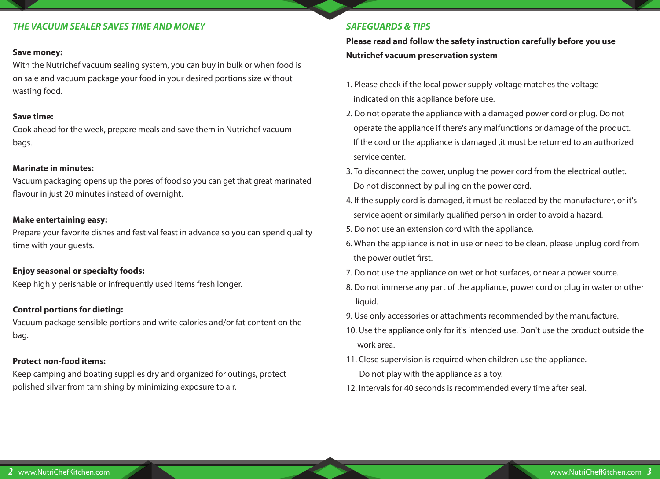#### *THE VACUUM SEALER SAVES TIME AND MONEY*

#### **Save money:**

With the Nutrichef vacuum sealing system, you can buy in bulk or when food is on sale and vacuum package your food in your desired portions size without wasting food.

#### **Save time:**

Cook ahead for the week, prepare meals and save them in Nutrichef vacuum bags.

#### **Marinate in minutes:**

Vacuum packaging opens up the pores of food so you can get that great marinated flavour in just 20 minutes instead of overnight.

#### **Make entertaining easy:**

Prepare your favorite dishes and festival feast in advance so you can spend quality time with your guests.

#### **Enjoy seasonal or specialty foods:**

Keep highly perishable or infrequently used items fresh longer.

#### **Control portions for dieting:**

Vacuum package sensible portions and write calories and/or fat content on the bag.

#### **Protect non-food items:**

Keep camping and boating supplies dry and organized for outings, protect polished silver from tarnishing by minimizing exposure to air.

#### *SAFEGUARDS & TIPS*

**Please read and follow the safety instruction carefully before you use Nutrichef vacuum preservation system**

- 1. Please check if the local power supply voltage matches the voltage indicated on this appliance before use.
- 2. Do not operate the appliance with a damaged power cord or plug. Do not operate the appliance if there's any malfunctions or damage of the product. If the cord or the appliance is damaged ,it must be returned to an authorized service center.
- 3. To disconnect the power, unplug the power cord from the electrical outlet. Do not disconnect by pulling on the power cord.
- 4. If the supply cord is damaged, it must be replaced by the manufacturer, or it's service agent or similarly qualified person in order to avoid a hazard.
- 5. Do not use an extension cord with the appliance.
- 6. When the appliance is not in use or need to be clean, please unplug cord from the power outlet first.
- 7. Do not use the appliance on wet or hot surfaces, or near a power source.
- 8. Do not immerse any part of the appliance, power cord or plug in water or other liquid.
- 9. Use only accessories or attachments recommended by the manufacture.
- 10. Use the appliance only for it's intended use. Don't use the product outside the work area.
- 11. Close supervision is required when children use the appliance. Do not play with the appliance as a toy.
- 12. Intervals for 40 seconds is recommended every time after seal.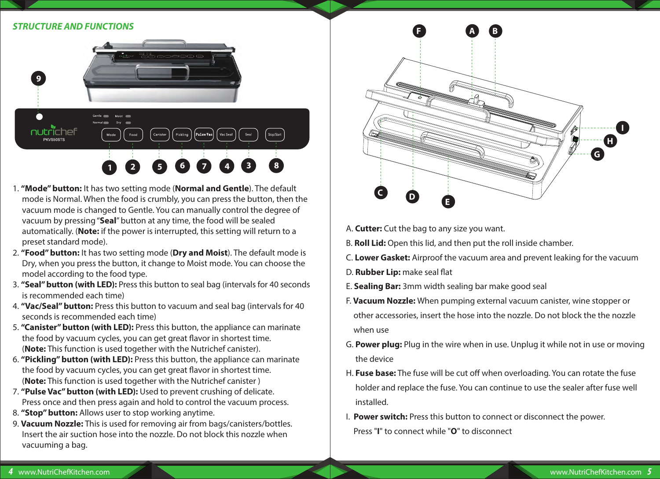#### *STRUCTURE AND FUNCTIONS*



- 1. **"Mode" button:** It has two setting mode (**Normal and Gentle**). The default mode is Normal. When the food is crumbly, you can press the button, then the vacuum mode is changed to Gentle. You can manually control the degree of vacuum by pressing "**Seal**" button at any time, the food will be sealed automatically. (**Note:** if the power is interrupted, this setting will return to a preset standard mode).
- 2. **"Food" button:** It has two setting mode (**Dry and Moist**). The default mode is Dry, when you press the button, it change to Moist mode. You can choose the model according to the food type.
- 3. **"Seal" button (with LED):** Press this button to seal bag (intervals for 40 seconds is recommended each time)
- 4. **"Vac/Seal" button:** Press this button to vacuum and seal bag (intervals for 40 seconds is recommended each time)
- 5. **"Canister" button (with LED):** Press this button, the appliance can marinate the food by vacuum cycles, you can get great flavor in shortest time. (**Note:** This function is used together with the Nutrichef canister).
- 6. **"Pickling" button (with LED):** Press this button, the appliance can marinate the food by vacuum cycles, you can get great flavor in shortest time. (**Note:** This function is used together with the Nutrichef canister )
- 7. **"Pulse Vac" button (with LED):** Used to prevent crushing of delicate. Press once and then press again and hold to control the vacuum process.
- 8. **"Stop" button:** Allows user to stop working anytime.
- 9. **Vacuum Nozzle:** This is used for removing air from bags/canisters/bottles. Insert the air suction hose into the nozzle. Do not block this nozzle when vacuuming a bag.



A. **Cutter:** Cut the bag to any size you want.

- B. **Roll Lid:** Open this lid, and then put the roll inside chamber.
- C. **Lower Gasket:** Airproof the vacuum area and prevent leaking for the vacuum
- D. **Rubber Lip:** make seal flat
- E. **Sealing Bar:** 3mm width sealing bar make good seal
- F. **Vacuum Nozzle:** When pumping external vacuum canister, wine stopper or other accessories, insert the hose into the nozzle. Do not block the the nozzle when use
- G. **Power plug:** Plug in the wire when in use. Unplug it while not in use or moving the device
- H. Fuse base: The fuse will be cut off when overloading. You can rotate the fuse holder and replace the fuse. You can continue to use the sealer after fuse well installed.
- I. **Power switch:** Press this button to connect or disconnect the power. Press "**I**" to connect while "**O**" to disconnect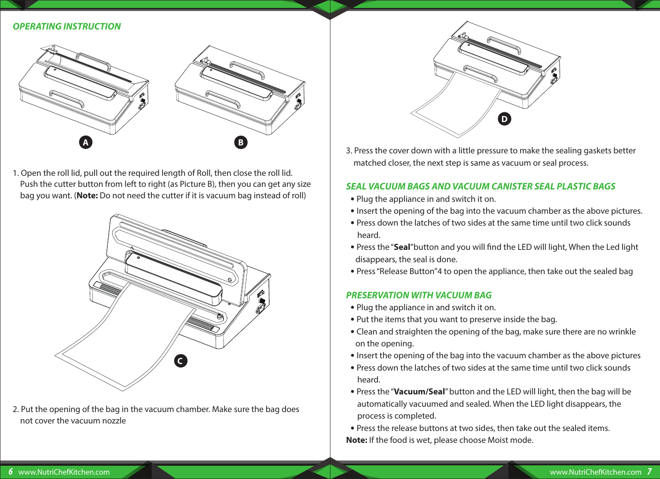#### *OPERATING INSTRUCTION*



1. Open the roll lid, pull out the required length of Roll, then close the roll lid. Push the cutter button from left to right (as Picture B), then you can get any size bag you want. (**Note:** Do not need the cutter if it is vacuum bag instead of roll)



2. Put the opening of the bag in the vacuum chamber. Make sure the bag does not cover the vacuum nozzle



3. Press the cover down with a little pressure to make the sealing gaskets better matched closer, the next step is same as vacuum or seal process.

#### *SEAL VACUUM BAGS AND VACUUM CANISTER SEAL PLASTIC BAGS*

- Plug the appliance in and switch it on.
- Insert the opening of the bag into the vacuum chamber as the above pictures.
- Press down the latches of two sides at the same time until two click sounds heard.
- Press the "Seal" button and you will find the LED will light, When the Led light disappears, the seal is done.
- Press "Release Button"4 to open the appliance, then take out the sealed bag

#### *PRESERVATION WITH VACUUM BAG*

- Plug the appliance in and switch it on.
- Put the items that you want to preserve inside the bag.
- Clean and straighten the opening of the bag, make sure there are no wrinkle on the opening.
- Insert the opening of the bag into the vacuum chamber as the above pictures
- Press down the latches of two sides at the same time until two click sounds heard.
- Press the "**Vacuum/Seal**" button and the LED will light, then the bag will be automatically vacuumed and sealed. When the LED light disappears, the process is completed.

 **•** Press the release buttons at two sides, then take out the sealed items. **Note:** If the food is wet, please choose Moist mode.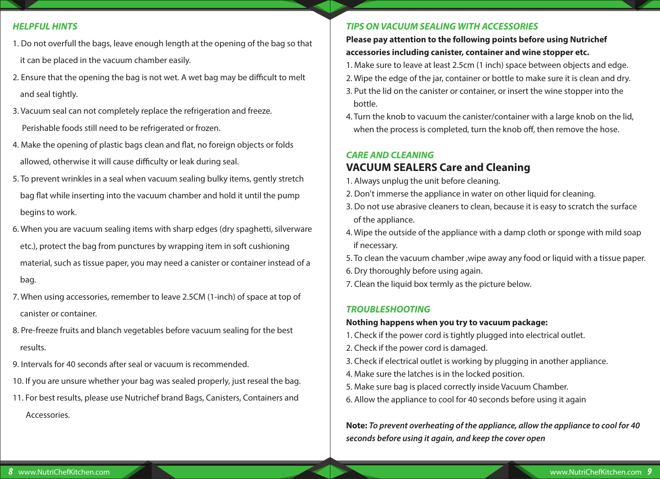#### *HELPFUL HINTS*

- 1. Do not overfull the bags, leave enough length at the opening of the bag so that it can be placed in the vacuum chamber easily.
- 2. Ensure that the opening the bag is not wet. A wet bag may be difficult to melt and seal tightly.
- 3. Vacuum seal can not completely replace the refrigeration and freeze. Perishable foods still need to be refrigerated or frozen.
- 4. Make the opening of plastic bags clean and flat, no foreign objects or folds allowed, otherwise it will cause difficulty or leak during seal.
- 5. To prevent wrinkles in a seal when vacuum sealing bulky items, gently stretch bag flat while inserting into the vacuum chamber and hold it until the pump begins to work.
- 6. When you are vacuum sealing items with sharp edges (dry spaghetti, silverware etc.), protect the bag from punctures by wrapping item in soft cushioning material, such as tissue paper, you may need a canister or container instead of a bag.
- 7. When using accessories, remember to leave 2.5CM (1-inch) of space at top of canister or container.
- 8. Pre-freeze fruits and blanch vegetables before vacuum sealing for the best results.
- 9. Intervals for 40 seconds after seal or vacuum is recommended.
- 10. If you are unsure whether your bag was sealed properly, just reseal the bag.
- 11. For best results, please use Nutrichef brand Bags, Canisters, Containers and Accessories.

#### *TIPS ON VACUUM SEALING WITH ACCESSORIES*

#### **Please pay attention to the following points before using Nutrichef accessories including canister, container and wine stopper etc.**

- 1. Make sure to leave at least 2.5cm (1 inch) space between objects and edge.
- 2. Wipe the edge of the jar, container or bottle to make sure it is clean and dry.
- 3. Put the lid on the canister or container, or insert the wine stopper into the bottle.
- 4. Turn the knob to vacuum the canister/container with a large knob on the lid, when the process is completed, turn the knob off, then remove the hose.

#### *CARE AND CLEANING* **VACUUM SEALERS Care and Cleaning**

- 1. Always unplug the unit before cleaning.
- 2. Don't immerse the appliance in water on other liquid for cleaning.
- 3. Do not use abrasive cleaners to clean, because it is easy to scratch the surface of the appliance.
- 4. Wipe the outside of the appliance with a damp cloth or sponge with mild soap if necessary.
- 5. To clean the vacuum chamber ,wipe away any food or liquid with a tissue paper.
- 6. Dry thoroughly before using again.
- 7. Clean the liquid box termly as the picture below.

#### *TROUBLESHOOTING*

#### **Nothing happens when you try to vacuum package:**

- 1. Check if the power cord is tightly plugged into electrical outlet.
- 2. Check if the power cord is damaged.
- 3. Check if electrical outlet is working by plugging in another appliance.
- 4. Make sure the latches is in the locked position.
- 5. Make sure bag is placed correctly inside Vacuum Chamber.
- 6. Allow the appliance to cool for 40 seconds before using it again

**Note:** *To prevent overheating of the appliance, allow the appliance to cool for 40 seconds before using it again, and keep the cover open*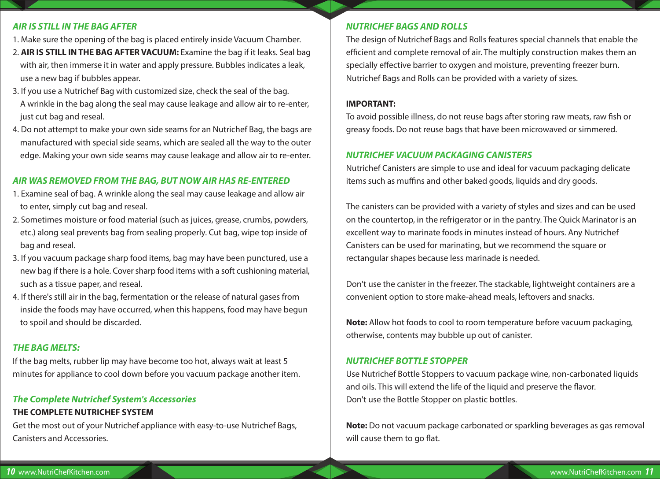#### *AIR IS STILL IN THE BAG AFTER*

- 1. Make sure the opening of the bag is placed entirely inside Vacuum Chamber.
- 2. **AIR IS STILL IN THE BAG AFTER VACUUM:** Examine the bag if it leaks. Seal bag with air, then immerse it in water and apply pressure. Bubbles indicates a leak, use a new bag if bubbles appear.
- 3. If you use a Nutrichef Bag with customized size, check the seal of the bag. A wrinkle in the bag along the seal may cause leakage and allow air to re-enter, just cut bag and reseal.
- 4. Do not attempt to make your own side seams for an Nutrichef Bag, the bags are manufactured with special side seams, which are sealed all the way to the outer edge. Making your own side seams may cause leakage and allow air to re-enter.

#### *AIR WAS REMOVED FROM THE BAG, BUT NOW AIR HAS RE-ENTERED*

- 1. Examine seal of bag. A wrinkle along the seal may cause leakage and allow air to enter, simply cut bag and reseal.
- 2. Sometimes moisture or food material (such as juices, grease, crumbs, powders, etc.) along seal prevents bag from sealing properly. Cut bag, wipe top inside of bag and reseal.
- 3. If you vacuum package sharp food items, bag may have been punctured, use a new bag if there is a hole. Cover sharp food items with a soft cushioning material, such as a tissue paper, and reseal.
- 4. If there's still air in the bag, fermentation or the release of natural gases from inside the foods may have occurred, when this happens, food may have begun to spoil and should be discarded.

#### *THE BAG MELTS:*

If the bag melts, rubber lip may have become too hot, always wait at least 5 minutes for appliance to cool down before you vacuum package another item.

#### *The Complete Nutrichef System's Accessories*

#### **THE COMPLETE NUTRICHEF SYSTEM**

Get the most out of your Nutrichef appliance with easy-to-use Nutrichef Bags, Canisters and Accessories.

#### *NUTRICHEF BAGS AND ROLLS*

The design of Nutrichef Bags and Rolls features special channels that enable the efficient and complete removal of air. The multiply construction makes them an specially effective barrier to oxygen and moisture, preventing freezer burn. Nutrichef Bags and Rolls can be provided with a variety of sizes.

#### **IMPORTANT:**

To avoid possible illness, do not reuse bags after storing raw meats, raw fish or greasy foods. Do not reuse bags that have been microwaved or simmered.

#### *NUTRICHEF VACUUM PACKAGING CANISTERS*

Nutrichef Canisters are simple to use and ideal for vacuum packaging delicate items such as muffins and other baked goods, liquids and dry goods.

The canisters can be provided with a variety of styles and sizes and can be used on the countertop, in the refrigerator or in the pantry. The Quick Marinator is an excellent way to marinate foods in minutes instead of hours. Any Nutrichef Canisters can be used for marinating, but we recommend the square or rectangular shapes because less marinade is needed.

Don't use the canister in the freezer. The stackable, lightweight containers are a convenient option to store make-ahead meals, leftovers and snacks.

**Note:** Allow hot foods to cool to room temperature before vacuum packaging, otherwise, contents may bubble up out of canister.

#### *NUTRICHEF BOTTLE STOPPER*

Use Nutrichef Bottle Stoppers to vacuum package wine, non-carbonated liquids and oils. This will extend the life of the liquid and preserve the flavor. Don't use the Bottle Stopper on plastic bottles.

**Note:** Do not vacuum package carbonated or sparkling beverages as gas removal will cause them to go flat.